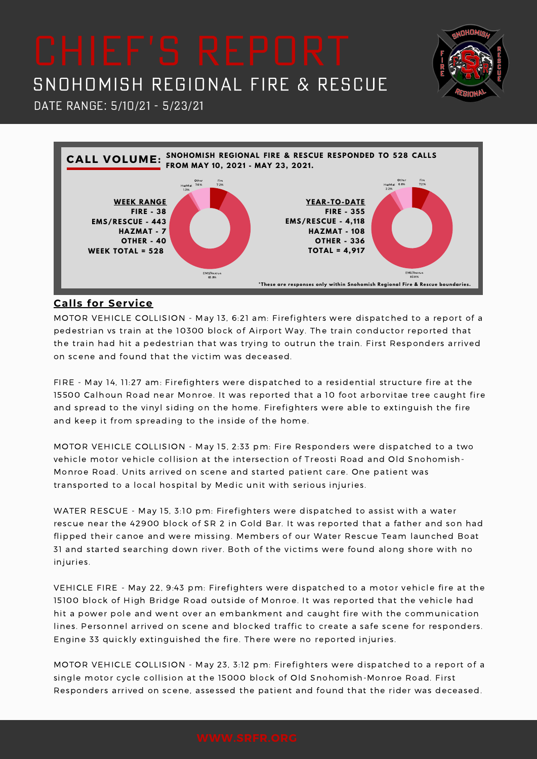# SNOHOMISH REGIONAL FIRE & RESCUE

**DHOM** 



### **Calls for Service**

Date Range: 5/10/21 - 5/23/21

MOTOR VEHICLE COLLISION - May 13, 6:21 am: Firefighters were dispatched to a report of a pedestrian vs train at the 10300 block of Airport Way. The train conductor reported that the train had hit a pedestrian that was trying to outrun the train. First Responders arrived on scene and found that the victim was deceased.

FIRE - May 14, 11:27 am: Firefighters were dispatched to a residential structure fire at the 15500 Calhoun Road near Monroe. It was reported that a 10 foot arborvitae tree caught fire and spread to the vinyl siding on the home. Firefighters were able to extinguish the fire and keep it from spreading to the inside of the home.

MOTOR VEHICLE COLLISION - May 15, 2:33 pm: Fire Responders were dispatched to a two vehicle motor vehicle collision at the intersection of Treosti Road and Old Snohomish-Monroe Road. Units arrived on scene and started patient care. One patient was transported to a local hospital by Medic unit with serious injuries.

WATER RESCUE - May 15, 3:10 pm: Firefighters were dispatched to assist with a water rescue near the 42900 block of SR 2 in Gold Bar. It was reported that a father and son had flipped their canoe and were missing. Members of our Water Rescue Team launched Boat 31 and started searching down river. Both of the victims were found along shore with no injuries.

VEHICLE FIRE - May 22, 9:43 pm: Firefighters were dispatched to a motor vehicle fire at the 15100 block of High Bridge Road outside of Monroe. It was reported that the vehicle had hit a power pole and went over an embankment and caught fire with the communication lines. Personnel arrived on scene and blocked traffic to create a safe scene for responders. Engine 33 quickly extinguished the fire. There were no reported injuries.

MOTOR VEHICLE COLLISION - May 23, 3:12 pm: Firefighters were dispatched to a report of a single motor cycle collision at the 15000 block of Old Snohomish-Monroe Road. First Responders arrived on scene, assessed the patient and found that the rider was deceased.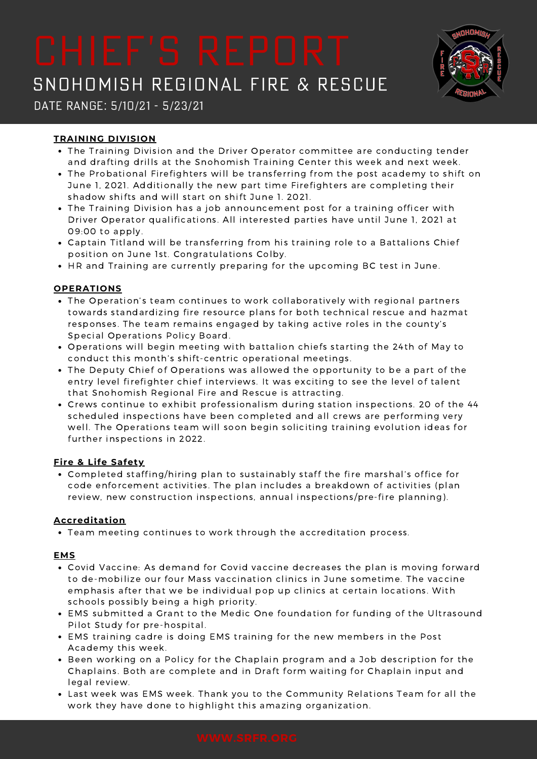# SNOHOMISH REGIONAL FIRE & RESCUE



## Date Range: 5/10/21 - 5/23/21

### **TRAINING DIVISION**

- The Training Division and the Driver Operator committee are conducting tender and drafting drills at the Snohomish Training Center this week and next week.
- The Probational Firefighters will be transferring from the post academy to shift on June 1, 2021. Additionally the new part time Firefighters are completing their shadow shifts and will start on shift June 1. 2021.
- The Training Division has a job announcement post for a training officer with Driver Operator qualifications. All interested parties have until June 1, 2021 at 09:00 to apply.
- Captain Titland will be transferring from his training role to a Battalions Chief position on June 1st. Congratulations Colby.
- HR and Training are currently preparing for the upcoming BC test in June.

#### **OPERATIONS**

- The Operation's team continues to work collaboratively with regional partners towards standardizing fire resource plans for both technical rescue and hazmat responses. The team remains engaged by taking active roles in the county's Special Operations Policy Board.
- Operations will begin meeting with battalion chiefs starting the 24th of May to conduct this month's shift-centric operational meetings.
- The Deputy Chief of Operations was allowed the opportunity to be a part of the entry level firefighter chief interviews. It was exciting to see the level of talent that Snohomish Regional Fire and Rescue is attracting.
- Crews continue to exhibit professionalism during station inspections. 20 of the 44 scheduled inspections have been completed and all crews are performing very well. The Operations team will soon begin soliciting training evolution ideas for further inspections in 2022.

#### **Fire & Life Safety**

Completed staffing/hiring plan to sustainably staff the fire marshal's office for code enforcement activities. The plan includes a breakdown of activities (plan review, new construction inspections, annual inspections/pre-fire planning).

### **Accreditation**

• Team meeting continues to work through the accreditation process.

#### **EMS**

- Covid Vaccine: As demand for Covid vaccine decreases the plan is moving forward to de-mobilize our four Mass vaccination clinics in June sometime. The vaccine emphasis after that we be individual pop up clinics at certain locations. With schools possibly being a high priority.
- EMS submitted a Grant to the Medic One foundation for funding of the Ultrasound Pilot Study for pre-hospital.
- EMS training cadre is doing EMS training for the new members in the Post Academy this week.
- Been working on a Policy for the Chaplain program and a Job description for the Chaplains. Both are complete and in Draft form waiting for Chaplain input and legal review.
- Last week was EMS week. Thank you to the Community Relations Team for all the work they have done to highlight this amazing organization.